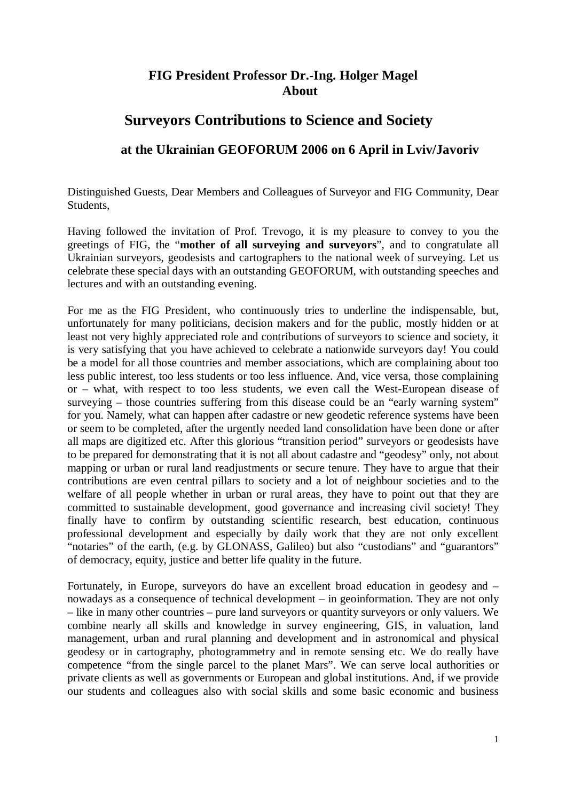## **FIG President Professor Dr.-Ing. Holger Magel About**

## **Surveyors Contributions to Science and Society**

## **at the Ukrainian GEOFORUM 2006 on 6 April in Lviv/Javoriv**

Distinguished Guests, Dear Members and Colleagues of Surveyor and FIG Community, Dear Students,

Having followed the invitation of Prof. Trevogo, it is my pleasure to convey to you the greetings of FIG, the "**mother of all surveying and surveyors**", and to congratulate all Ukrainian surveyors, geodesists and cartographers to the national week of surveying. Let us celebrate these special days with an outstanding GEOFORUM, with outstanding speeches and lectures and with an outstanding evening.

For me as the FIG President, who continuously tries to underline the indispensable, but, unfortunately for many politicians, decision makers and for the public, mostly hidden or at least not very highly appreciated role and contributions of surveyors to science and society, it is very satisfying that you have achieved to celebrate a nationwide surveyors day! You could be a model for all those countries and member associations, which are complaining about too less public interest, too less students or too less influence. And, vice versa, those complaining or – what, with respect to too less students, we even call the West-European disease of surveying – those countries suffering from this disease could be an "early warning system" for you. Namely, what can happen after cadastre or new geodetic reference systems have been or seem to be completed, after the urgently needed land consolidation have been done or after all maps are digitized etc. After this glorious "transition period" surveyors or geodesists have to be prepared for demonstrating that it is not all about cadastre and "geodesy" only, not about mapping or urban or rural land readjustments or secure tenure. They have to argue that their contributions are even central pillars to society and a lot of neighbour societies and to the welfare of all people whether in urban or rural areas, they have to point out that they are committed to sustainable development, good governance and increasing civil society! They finally have to confirm by outstanding scientific research, best education, continuous professional development and especially by daily work that they are not only excellent "notaries" of the earth, (e.g. by GLONASS, Galileo) but also "custodians" and "guarantors" of democracy, equity, justice and better life quality in the future.

Fortunately, in Europe, surveyors do have an excellent broad education in geodesy and – nowadays as a consequence of technical development – in geoinformation. They are not only – like in many other countries – pure land surveyors or quantity surveyors or only valuers. We combine nearly all skills and knowledge in survey engineering, GIS, in valuation, land management, urban and rural planning and development and in astronomical and physical geodesy or in cartography, photogrammetry and in remote sensing etc. We do really have competence "from the single parcel to the planet Mars". We can serve local authorities or private clients as well as governments or European and global institutions. And, if we provide our students and colleagues also with social skills and some basic economic and business